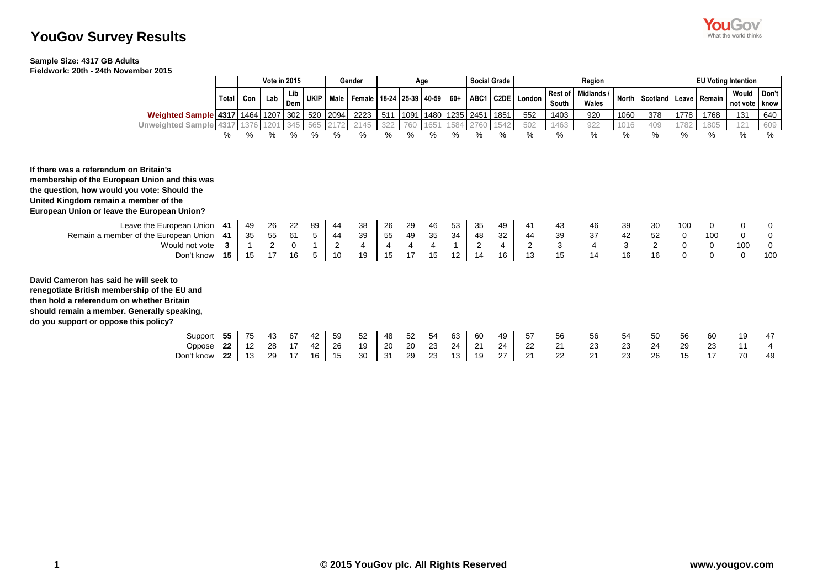

# **YouGov Survey Results**

## **Sample Size: 4317 GB Adults**

**Fieldwork: 20th - 24th November 2015**

|                                                                                                                                                                                                                                 |       | <b>Vote in 2015</b> |                  |                                        |                |                | Gender                                             | Age            |                         |                         |              |                     | <b>Social Grade</b> | Region               |                  |                         |             |                                   |             | <b>EU Voting Intention</b> |                          |             |  |
|---------------------------------------------------------------------------------------------------------------------------------------------------------------------------------------------------------------------------------|-------|---------------------|------------------|----------------------------------------|----------------|----------------|----------------------------------------------------|----------------|-------------------------|-------------------------|--------------|---------------------|---------------------|----------------------|------------------|-------------------------|-------------|-----------------------------------|-------------|----------------------------|--------------------------|-------------|--|
|                                                                                                                                                                                                                                 | Total | Con                 | Lab              | Lib<br>Dem                             |                |                | UKIP   Male   Female   18-24   25-39   40-59   60+ |                |                         |                         |              |                     |                     | ABC1   C2DE   London | Rest of<br>South | Midlands /<br>Wales     |             | North   Scotland   Leave   Remain |             |                            | Would<br>not vote   know | Don't       |  |
| Weighted Sample 4317 1464 1207 302                                                                                                                                                                                              |       |                     |                  |                                        | 520            | 2094           | 2223                                               | 511            | 1091                    |                         |              | 1480 1235 2451 1851 |                     | 552                  | 1403             | 920                     | 1060        | 378                               | 1778        | 1768                       | 131                      | 640         |  |
| Unweighted Sample 4317 1376                                                                                                                                                                                                     |       |                     | 120 <sup>1</sup> | 345                                    | 565            |                | 2145                                               | 322            | 760                     | 1651                    | 1584         | 2760                | 1542                | 502                  | 1463             | 922                     | 1016        | 409                               | 1782        | 1805                       | 121                      | 609         |  |
|                                                                                                                                                                                                                                 | ℅     | %                   | %                | %                                      | %              | %              | %                                                  | %              | %                       | %                       | %            | %                   | %                   | %                    | %                | $\frac{9}{6}$           | %           | %                                 | %           | %                          | %                        | %           |  |
| If there was a referendum on Britain's<br>membership of the European Union and this was<br>the question, how would you vote: Should the<br>United Kingdom remain a member of the<br>European Union or leave the European Union? |       |                     |                  |                                        |                |                |                                                    |                |                         |                         |              |                     |                     |                      |                  |                         |             |                                   |             |                            |                          |             |  |
| Leave the European Union 41                                                                                                                                                                                                     |       | 49                  | 26               | 22                                     | 89             | 44             | 38                                                 | 26             | 29                      | 46                      | 53           | 35                  | 49                  |                      | 43               | 46                      | 39          | 30                                | 100         | 0                          | $\Omega$                 | 0           |  |
| Remain a member of the European Union                                                                                                                                                                                           | -41   | 35                  | 55               | $\begin{array}{c} 61 \\ 0 \end{array}$ | $\overline{5}$ | 44             | 39                                                 | 55             | 49                      | 35                      | 34           | 48                  | 32                  | 44                   | 39               | 37                      | 42          | 52                                | 0           | 100                        | 0                        | 0           |  |
| Would not vote                                                                                                                                                                                                                  | 3     |                     | $\overline{2}$   |                                        |                | $\overline{2}$ | $\overline{\mathbf{4}}$                            | $\overline{4}$ | $\overline{\mathbf{4}}$ | $\overline{\mathbf{4}}$ | $\mathbf{1}$ | 2                   | $\overline{4}$      | $\overline{2}$       | $\mathbf{3}$     | $\overline{\mathbf{4}}$ | $\mathsf 3$ | $\overline{c}$                    | $\mathbf 0$ | 0                          | 100                      | $\mathbf 0$ |  |
| Don't know                                                                                                                                                                                                                      | 15    | 15                  | 17               | 16                                     | 5              | 10             | 19                                                 | 15             | 17                      | 15                      | 12           | 14                  | 16                  | 13                   | 15               | 14                      | 16          | 16                                | 0           | 0                          | $\mathbf 0$              | 100         |  |
| David Cameron has said he will seek to<br>renegotiate British membership of the EU and<br>then hold a referendum on whether Britain<br>should remain a member. Generally speaking,<br>do you support or oppose this policy?     |       |                     |                  |                                        |                |                |                                                    |                |                         |                         |              |                     |                     |                      |                  |                         |             |                                   |             |                            |                          |             |  |
| Support                                                                                                                                                                                                                         | 55    | 75                  | 43               | 67                                     | 42             | 59             | 52                                                 | 48             | 52                      | 54                      | 63           | 60                  | 49                  | 57                   | 56               | 56                      | 54          | 50                                | 56          | 60                         | 19                       | 47          |  |
| Oppose                                                                                                                                                                                                                          | 22    | 12                  | 28               | 17                                     | 42             | 26             | 19                                                 | 20             | 20                      | 23                      | 24           | 21                  | 24                  | 22                   | 21               | 23                      | 23          | 24                                | 29          | 23                         | 11                       | 4           |  |
| Don't know                                                                                                                                                                                                                      | 22    | 13                  | 29               | 17                                     | 16             | 15             | 30                                                 | 31             | 29                      | 23                      | 13           | 19                  | 27                  | 21                   | 22               | 21                      | 23          | 26                                | 15          | 17                         | 70                       | 49          |  |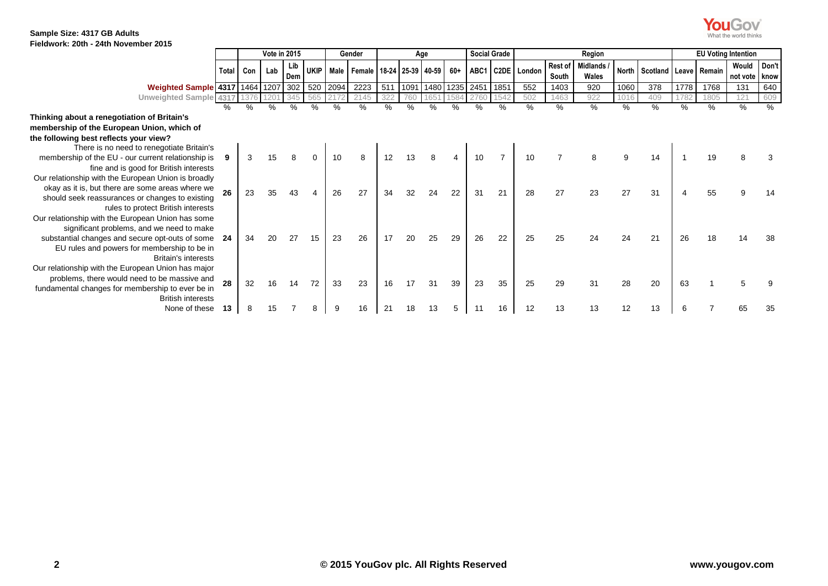**You Gov**<br>What the world thinks

|                                                     |         | <b>Vote in 2015</b> |               |            |    |      | Gender                                       | Age |                                 |    |     |    | <b>Social Grade</b> | Region           |                  |                     |      |                                   |      | <b>EU Voting Intention</b> |                        |       |  |
|-----------------------------------------------------|---------|---------------------|---------------|------------|----|------|----------------------------------------------|-----|---------------------------------|----|-----|----|---------------------|------------------|------------------|---------------------|------|-----------------------------------|------|----------------------------|------------------------|-------|--|
|                                                     | Total I | Con                 | Lab           | Lib<br>Dem |    |      | UKIP   Male   Female   18-24   25-39   40-59 |     |                                 |    | 60+ |    |                     | ABC1 C2DE London | Rest of<br>South | Midlands /<br>Wales |      | North   Scotland   Leave   Remain |      |                            | Would<br>not vote know | Don't |  |
| Weighted Sample 4317 1464 1207 302 520              |         |                     |               |            |    | 2094 | 2223                                         |     | 511   1091   1480   1235   2451 |    |     |    | 1851                | 552              | 1403             | 920                 | 1060 | 378                               | 1778 | 1768                       | 131                    | 640   |  |
| Unweighted Sample 4317                              |         |                     |               |            |    |      | 2145                                         |     |                                 |    |     |    |                     | 502              | 1463             | 922                 | 1016 | 409                               |      | 1805                       | 121                    | 609   |  |
|                                                     | %       | $\%$                | $\frac{0}{2}$ |            |    |      | ℅                                            | %   |                                 | %  |     |    | %                   | %                | %                | %                   | %    | %                                 | $\%$ | %                          | %                      | %     |  |
| Thinking about a renegotiation of Britain's         |         |                     |               |            |    |      |                                              |     |                                 |    |     |    |                     |                  |                  |                     |      |                                   |      |                            |                        |       |  |
| membership of the European Union, which of          |         |                     |               |            |    |      |                                              |     |                                 |    |     |    |                     |                  |                  |                     |      |                                   |      |                            |                        |       |  |
| the following best reflects your view?              |         |                     |               |            |    |      |                                              |     |                                 |    |     |    |                     |                  |                  |                     |      |                                   |      |                            |                        |       |  |
| There is no need to renegotiate Britain's           |         |                     |               |            |    |      |                                              |     |                                 |    |     |    |                     |                  |                  |                     |      |                                   |      |                            |                        |       |  |
| membership of the EU - our current relationship is  |         | 3                   |               |            |    | 10   | 8                                            |     |                                 |    |     | 10 |                     | 10               |                  |                     | g    | 14                                |      |                            |                        |       |  |
| fine and is good for British interests              |         |                     |               |            |    |      |                                              |     |                                 |    |     |    |                     |                  |                  |                     |      |                                   |      |                            |                        |       |  |
| Our relationship with the European Union is broadly |         |                     |               |            |    |      |                                              |     |                                 |    |     |    |                     |                  |                  |                     |      |                                   |      |                            |                        |       |  |
| okay as it is, but there are some areas where we    | 26      | 23                  |               |            |    | 26   | 27                                           | 34  | 32                              | 24 | 22  | 31 | 21                  | 28               | 27               | 23                  | 27   | 31                                |      | 55                         |                        |       |  |
| should seek reassurances or changes to existing     |         |                     |               |            |    |      |                                              |     |                                 |    |     |    |                     |                  |                  |                     |      |                                   |      |                            |                        |       |  |
| rules to protect British interests                  |         |                     |               |            |    |      |                                              |     |                                 |    |     |    |                     |                  |                  |                     |      |                                   |      |                            |                        |       |  |
| Our relationship with the European Union has some   |         |                     |               |            |    |      |                                              |     |                                 |    |     |    |                     |                  |                  |                     |      |                                   |      |                            |                        |       |  |
| significant problems, and we need to make           |         |                     |               |            |    |      |                                              |     |                                 |    |     |    |                     |                  |                  |                     |      |                                   |      |                            |                        |       |  |
| substantial changes and secure opt-outs of some     | -24     | 34                  | 20            | 27         | 15 | 23   | 26                                           | 17  | 20                              | 25 | 29  | 26 | 22                  | 25               | 25               | 24                  |      | 21                                | 26   | 18                         |                        |       |  |
| EU rules and powers for membership to be in         |         |                     |               |            |    |      |                                              |     |                                 |    |     |    |                     |                  |                  |                     |      |                                   |      |                            |                        |       |  |
| Britain's interests                                 |         |                     |               |            |    |      |                                              |     |                                 |    |     |    |                     |                  |                  |                     |      |                                   |      |                            |                        |       |  |
| Our relationship with the European Union has major  |         |                     |               |            |    |      |                                              |     |                                 |    |     |    |                     |                  |                  |                     |      |                                   |      |                            |                        |       |  |
| problems, there would need to be massive and        | 28      | 32                  | 16            | 14         | 72 | 33   | 23                                           | 16  |                                 | 31 | 39  | 23 | 35                  | 25               | 29               | 31                  | 28   | 20                                | 63   |                            |                        |       |  |
| fundamental changes for membership to ever be in    |         |                     |               |            |    |      |                                              |     |                                 |    |     |    |                     |                  |                  |                     |      |                                   |      |                            |                        |       |  |
| <b>British interests</b>                            |         |                     |               |            |    |      |                                              |     |                                 |    |     |    |                     |                  |                  |                     |      |                                   |      |                            |                        |       |  |
| None of these                                       | 13      |                     |               |            |    |      | 16                                           |     |                                 |    |     |    | 16                  | 12               |                  | 13                  |      | 13                                |      |                            |                        |       |  |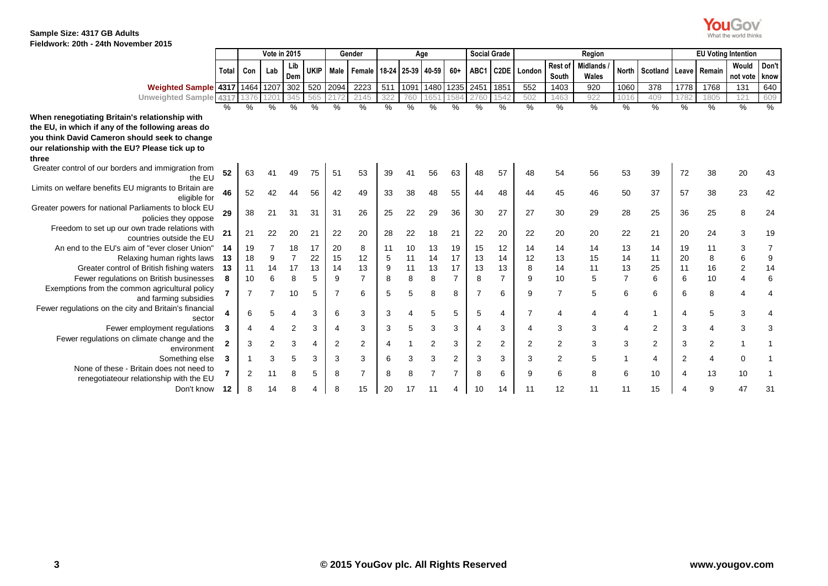What the world thinks

|                                                                                     |                | <b>Vote in 2015</b> |                |            |             | Gender |                |     | Age               |           |                | <b>Social Grade</b> | Region            |                |                  |                          |                | <b>EU Voting Intention</b> |              |        |                   |                |
|-------------------------------------------------------------------------------------|----------------|---------------------|----------------|------------|-------------|--------|----------------|-----|-------------------|-----------|----------------|---------------------|-------------------|----------------|------------------|--------------------------|----------------|----------------------------|--------------|--------|-------------------|----------------|
|                                                                                     | <b>Total</b>   | Con                 | Lab            | Lib<br>Dem | <b>UKIP</b> | Male   | Female         |     | 18-24 25-39 40-59 |           | $60+$          | ABC1                | C <sub>2</sub> DE | London         | Rest of<br>South | <b>Midlands</b><br>Wales | <b>North</b>   | Scotland                   | <b>Leave</b> | Remain | Would<br>not vote | Don't<br>know  |
| Weighted Sample 4317 1464 1207                                                      |                |                     |                | 302        | 520         | 2094   | 2223           | 511 | 1091              | 1480 1235 |                | 2451                | 1851              | 552            | 1403             | 920                      | 1060           | 378                        | 1778         | 1768   | 131               | 640            |
| Unweighted Sample 4317                                                              |                | 1376                | 120'           | 345        | 565         |        | 2145           | 322 | 760               | 1651      | 1584           | 2760                | 1542              | 502            | 1463             | 922                      | 1016           | 409                        | 1782         | 1805   | 121               | 609            |
|                                                                                     | ℅              | $\%$                | %              | %          | $\%$        | $\%$   | %              | %   | $\frac{9}{6}$     | %         | %              | %                   | $\%$              | $\%$           | %                | %                        | $\frac{0}{0}$  | $\%$                       | $\%$         | $\%$   | %                 | %              |
| When renegotiating Britain's relationship with                                      |                |                     |                |            |             |        |                |     |                   |           |                |                     |                   |                |                  |                          |                |                            |              |        |                   |                |
| the EU, in which if any of the following areas do                                   |                |                     |                |            |             |        |                |     |                   |           |                |                     |                   |                |                  |                          |                |                            |              |        |                   |                |
| you think David Cameron should seek to change                                       |                |                     |                |            |             |        |                |     |                   |           |                |                     |                   |                |                  |                          |                |                            |              |        |                   |                |
| our relationship with the EU? Please tick up to                                     |                |                     |                |            |             |        |                |     |                   |           |                |                     |                   |                |                  |                          |                |                            |              |        |                   |                |
| three                                                                               |                |                     |                |            |             |        |                |     |                   |           |                |                     |                   |                |                  |                          |                |                            |              |        |                   |                |
| Greater control of our borders and immigration from<br>the EU                       | 52             | 63                  |                |            | 75          | -51    | 53             | 39  |                   | 56        | 63             | 48                  | 57                | 48             | 54               | 56                       | 53             | 39                         | 72           | 38     | 20                | 43             |
| Limits on welfare benefits EU migrants to Britain are<br>eligible for               | 46             | 52                  |                |            | 56          | 42     | 49             | 33  | 38                | 48        | 55             | 44                  | 48                | 44             | 45               | 46                       | 50             | 37                         | 57           | 38     | 23                | 42             |
| Greater powers for national Parliaments to block EU<br>policies they oppose         | 29             | 38                  | 21             | 31         | 31          | 31     | 26             | 25  | 22                | 29        | 36             | 30                  | 27                | 27             | 30               | 29                       | 28             | 25                         | 36           | 25     | 8                 | 24             |
| Freedom to set up our own trade relations with<br>countries outside the EU          | 21             | 21                  | 22             | 20         | 21          | 22     | 20             | 28  | 22                | 18        | 21             | 22                  | 20                | 22             | 20               | 20                       | 22             | 21                         | 20           | 24     | 3                 | 19             |
| An end to the EU's aim of "ever closer Union"                                       | 14             | 19                  |                | 18         | 17          | 20     | 8              | 11  | 10                | 13        | 19             | 15                  | 12                | 14             | 14               | 14                       | 13             | 14                         | 19           | 11     | 3                 | 7              |
| Relaxing human rights laws                                                          | 13             | 18                  | 9              | 7          | 22          | 15     | 12             | 5   | 11                | 14        | 17             | 13                  | 14                | 12             | 13               | 15                       | 14             | 11                         | 20           | 8      | 6                 | 9              |
| Greater control of British fishing waters                                           | 13             | 11                  | 14             | 17         | 13          | 14     | 13             | 9   | 11                | 13        | 17             | 13                  | 13                | 8              | 14               | 11                       | 13             | 25                         | 11           | 16     | 2                 | 14             |
| Fewer regulations on British businesses                                             | 8              | 10                  | 6              | 8          | 5           | 9      | $\overline{7}$ | 8   | 8                 | 8         | $\overline{7}$ | 8                   | $\overline{7}$    | 9              | 10               | 5                        | $\overline{7}$ | 6                          | 6            | 10     | 4                 | 6              |
| Exemptions from the common agricultural policy<br>and farming subsidies             |                | $\overline{7}$      |                | 10         | 5           | 7      | 6              | 5   | 5                 | 8         | 8              |                     | 6                 | 9              |                  | 5                        | 6              | 6                          | 6            | 8      |                   | $\overline{4}$ |
| Fewer regulations on the city and Britain's financial<br>sector                     |                | 6                   |                |            | 3           | 6      | 3              | 3   |                   | 5         | 5              | 5                   | 4                 |                |                  | 4                        | 4              | 1                          | 4            | 5      | 3                 | 4              |
| Fewer employment regulations                                                        | 3              | 4                   |                | 2          | 3           | 4      | 3              | 3   | 5                 | 3         | 3              |                     | 3                 |                | 3                | 3                        | 4              | $\overline{2}$             | 3            | 4      | 3                 | 3              |
| Fewer regulations on climate change and the<br>environment                          | $\overline{2}$ | 3                   | $\overline{2}$ | 3          | 4           | 2      | $\overline{2}$ |     |                   | 2         | 3              | 2                   | $\overline{2}$    | $\overline{2}$ | 2                | 3                        | 3              | 2                          | 3            | 2      |                   |                |
| Something else                                                                      | 3              |                     | 3              | 5          | 3           | 3      | 3              | 6   | 3                 | 3         | 2              | 3                   | 3                 | 3              | $\overline{2}$   | 5                        |                | 4                          | 2            | 4      | 0                 |                |
| None of these - Britain does not need to<br>renegotiateour relationship with the EU |                | 2                   |                | 8          | 5           | 8      | 7              | 8   | 8                 |           | 7              | 8                   | 6                 | 9              | 6                | 8                        | 6              | 10                         |              | 13     | 10                |                |
| Don't know                                                                          | 12             | 8                   | 14             | 8          |             |        | 15             | 20  | 17                | 11        | 4              | 10                  | 14                | 11             | 12               | 11                       | 11             | 15                         |              | 9      | 47                | 31             |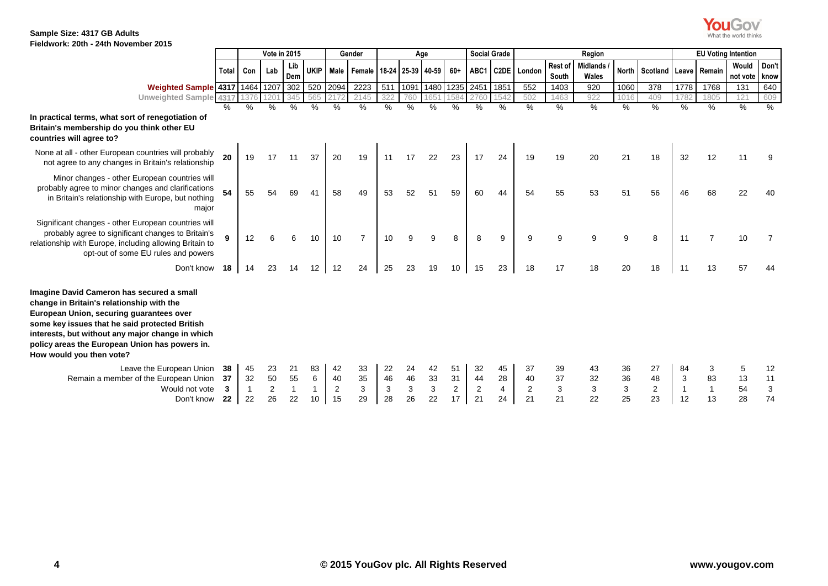

|                                                                                                                                                                                                                                                                                                                        |                     | Vote in 2015   |                                  |                |                    |                     | Gender                                       | Age                 |                     |                     |                                  | <b>Social Grade</b> |                     | Region                           |                     |                          |                     |                             |               | <b>EU Voting Intention</b> |                        |                     |  |
|------------------------------------------------------------------------------------------------------------------------------------------------------------------------------------------------------------------------------------------------------------------------------------------------------------------------|---------------------|----------------|----------------------------------|----------------|--------------------|---------------------|----------------------------------------------|---------------------|---------------------|---------------------|----------------------------------|---------------------|---------------------|----------------------------------|---------------------|--------------------------|---------------------|-----------------------------|---------------|----------------------------|------------------------|---------------------|--|
|                                                                                                                                                                                                                                                                                                                        | Total I             | Con            | Lab                              | Lib<br>Dem     |                    |                     | UKIP   Male   Female   18-24   25-39   40-59 |                     |                     |                     | $60+$                            |                     |                     | ABC1 C2DE   London               | Rest of<br>South    | <b>Midlands</b><br>Wales |                     | North Scotland Leave Remain |               |                            | Would<br>not vote know | Don't               |  |
| Weighted Sample 4317 1464                                                                                                                                                                                                                                                                                              |                     |                | 1207                             | 302            |                    | 520 2094            | 2223                                         | 511                 |                     | 1091 1480 1235      |                                  | 2451 1851           |                     | 552                              | 1403                | 920                      | 1060                | 378                         | 1778          | 1768                       | 131                    | 640                 |  |
| Unweighted Sample 4317                                                                                                                                                                                                                                                                                                 |                     |                | $120^{\circ}$                    | 345            | 565                |                     | 2145                                         | 32 <sub>i</sub>     |                     |                     |                                  | 2760                | 1542                | 502                              | 1463                | 922                      | 1016                | 409                         | 1782          | 1805                       | 121                    | 609                 |  |
| In practical terms, what sort of renegotiation of<br>Britain's membership do you think other EU<br>countries will agree to?                                                                                                                                                                                            | ℅                   | ℅              | %                                | $\%$           | $\frac{0}{0}$      | $\frac{0}{0}$       | $\%$                                         | %                   | %                   | $\%$                | %                                | $\%$                | $\%$                | $\frac{0}{0}$                    | $\%$                | %                        | $\%$                | $\%$                        | $\%$          | $\%$                       | %                      | $\%$                |  |
| None at all - other European countries will probably<br>not agree to any changes in Britain's relationship                                                                                                                                                                                                             | 20                  | 19             | 17                               | 11             | 37                 | 20                  | 19                                           | 11                  | 17                  | 22                  | 23                               | 17                  | 24                  | 19                               | 19                  | 20                       | 21                  | 18                          | 32            | 12                         | 11                     | 9                   |  |
| Minor changes - other European countries will<br>probably agree to minor changes and clarifications<br>in Britain's relationship with Europe, but nothing<br>major                                                                                                                                                     |                     | 55             |                                  | 69             | 41                 | 58                  | 49                                           | 53                  | 52                  | 51                  | 59                               | 60                  | 44                  | 54                               | 55                  | 53                       | 51                  | 56                          | 46            | 68                         | 22                     | 40                  |  |
| Significant changes - other European countries will<br>probably agree to significant changes to Britain's<br>relationship with Europe, including allowing Britain to<br>opt-out of some EU rules and powers                                                                                                            |                     | 12             |                                  | 6              | 10                 | 10                  | $\overline{7}$                               | 10                  | 9                   | 9                   | 8                                | 8                   | 9                   | 9                                | g                   | 9                        | 9                   | 8                           | 11            | 7                          | 10                     |                     |  |
| Don't know                                                                                                                                                                                                                                                                                                             | 18                  | 14             | 23                               | 14             | 12                 | 12                  | 24                                           | 25                  | 23                  | 19                  | 10                               | 15                  | 23                  | 18                               | 17                  | 18                       | 20                  | 18                          | 11            | 13                         | 57                     |                     |  |
| Imagine David Cameron has secured a small<br>change in Britain's relationship with the<br>European Union, securing guarantees over<br>some key issues that he said protected British<br>interests, but without any major change in which<br>policy areas the European Union has powers in.<br>How would you then vote? |                     |                |                                  |                |                    |                     |                                              |                     |                     |                     |                                  |                     |                     |                                  |                     |                          |                     |                             |               |                            |                        |                     |  |
| Leave the European Union<br>Remain a member of the European Union<br>Would not vote<br>Don't know                                                                                                                                                                                                                      | 38<br>37<br>3<br>22 | 45<br>32<br>22 | 23<br>50<br>$\overline{2}$<br>26 | 21<br>55<br>22 | 83<br>6<br>1<br>10 | 42<br>40<br>2<br>15 | 33<br>35<br>3<br>29                          | 22<br>46<br>3<br>28 | 24<br>46<br>3<br>26 | 42<br>33<br>3<br>22 | 51<br>31<br>$\overline{2}$<br>17 | 32<br>44<br>2<br>21 | 45<br>28<br>4<br>24 | 37<br>40<br>$\overline{2}$<br>21 | 39<br>37<br>3<br>21 | 43<br>32<br>3<br>22      | 36<br>36<br>3<br>25 | 27<br>48<br>2<br>23         | 84<br>3<br>12 | 3<br>83<br>13              | 5<br>13<br>54<br>28    | 12<br>11<br>3<br>74 |  |